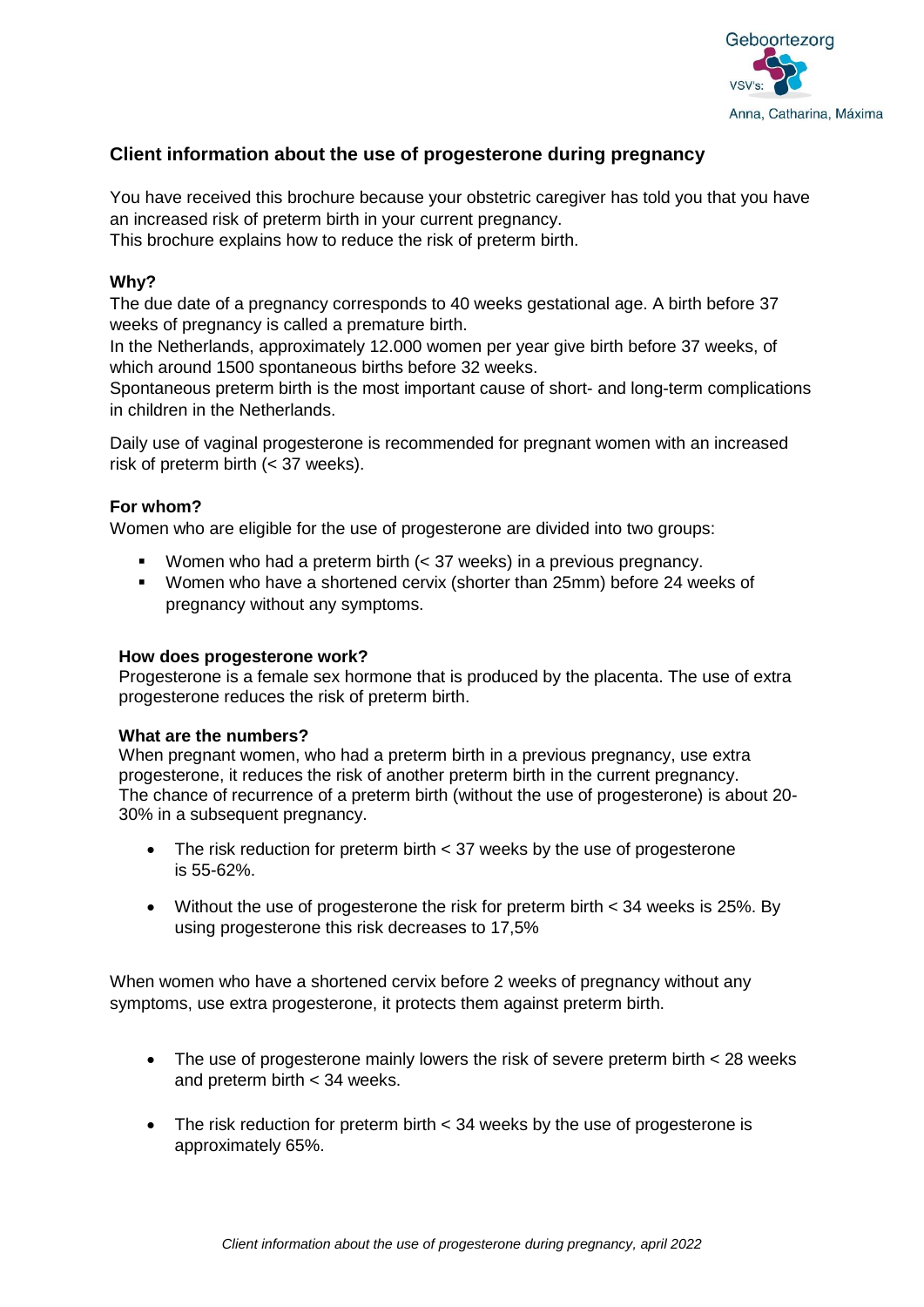

# **Client information about the use of progesterone during pregnancy**

You have received this brochure because your obstetric caregiver has told you that you have an increased risk of preterm birth in your current pregnancy.

This brochure explains how to reduce the risk of preterm birth.

### **Why?**

The due date of a pregnancy corresponds to 40 weeks gestational age. A birth before 37 weeks of pregnancy is called a premature birth.

In the Netherlands, approximately 12.000 women per year give birth before 37 weeks, of which around 1500 spontaneous births before 32 weeks.

Spontaneous preterm birth is the most important cause of short- and long-term complications in children in the Netherlands.

Daily use of vaginal progesterone is recommended for pregnant women with an increased risk of preterm birth (< 37 weeks).

# **For whom?**

Women who are eligible for the use of progesterone are divided into two groups:

- Women who had a preterm birth (< 37 weeks) in a previous pregnancy.
- Women who have a shortened cervix (shorter than 25mm) before 24 weeks of pregnancy without any symptoms.

#### **How does progesterone work?**

Progesterone is a female sex hormone that is produced by the placenta. The use of extra progesterone reduces the risk of preterm birth.

#### **What are the numbers?**

When pregnant women, who had a preterm birth in a previous pregnancy, use extra progesterone, it reduces the risk of another preterm birth in the current pregnancy. The chance of recurrence of a preterm birth (without the use of progesterone) is about 20- 30% in a subsequent pregnancy.

- The risk reduction for preterm birth  $\lt$  37 weeks by the use of progesterone is 55-62%.
- Without the use of progesterone the risk for preterm birth < 34 weeks is 25%. By using progesterone this risk decreases to 17,5%

When women who have a shortened cervix before 2 weeks of pregnancy without any symptoms, use extra progesterone, it protects them against preterm birth.

- The use of progesterone mainly lowers the risk of severe preterm birth < 28 weeks and preterm birth < 34 weeks.
- The risk reduction for preterm birth  $\lt 34$  weeks by the use of progesterone is approximately 65%.